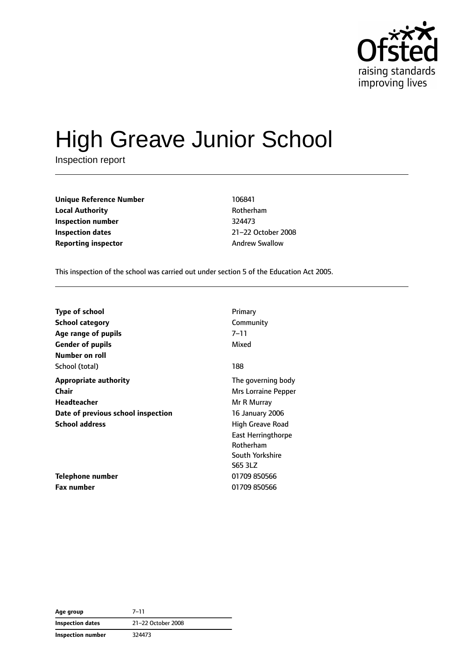

# High Greave Junior School

Inspection report

| <b>Unique Reference Number</b> | 106841                |
|--------------------------------|-----------------------|
| <b>Local Authority</b>         | Rotherham             |
| Inspection number              | 324473                |
| <b>Inspection dates</b>        | 21-22 October 2       |
| <b>Reporting inspector</b>     | <b>Andrew Swallow</b> |

**Local Authority** Rotherham **Inspection dates** 21–22 October 2008

This inspection of the school was carried out under section 5 of the Education Act 2005.

| <b>Type of school</b>              | Primary                   |
|------------------------------------|---------------------------|
| <b>School category</b>             | Community                 |
| Age range of pupils                | $7 - 11$                  |
| <b>Gender of pupils</b>            | Mixed                     |
| Number on roll                     |                           |
| School (total)                     | 188                       |
| <b>Appropriate authority</b>       | The governing body        |
| Chair                              | Mrs Lorraine Pepper       |
| Headteacher                        | Mr R Murray               |
| Date of previous school inspection | 16 January 2006           |
| <b>School address</b>              | High Greave Road          |
|                                    | <b>East Herringthorpe</b> |
|                                    | Rotherham                 |
|                                    | South Yorkshire           |
|                                    | S65 3LZ                   |
| <b>Telephone number</b>            | 01709 850566              |
| <b>Fax number</b>                  | 01709 850566              |

**Age group** 7–11 **Inspection dates** 21–22 October 2008 **Inspection number** 324473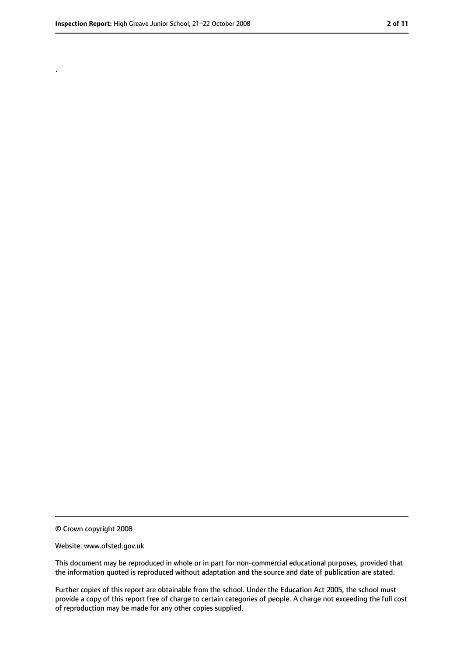.

<sup>©</sup> Crown copyright 2008

Website: www.ofsted.gov.uk

This document may be reproduced in whole or in part for non-commercial educational purposes, provided that the information quoted is reproduced without adaptation and the source and date of publication are stated.

Further copies of this report are obtainable from the school. Under the Education Act 2005, the school must provide a copy of this report free of charge to certain categories of people. A charge not exceeding the full cost of reproduction may be made for any other copies supplied.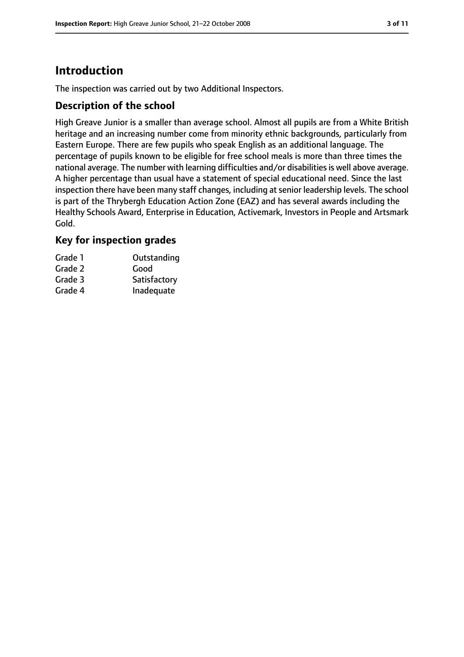# **Introduction**

The inspection was carried out by two Additional Inspectors.

#### **Description of the school**

High Greave Junior is a smaller than average school. Almost all pupils are from a White British heritage and an increasing number come from minority ethnic backgrounds, particularly from Eastern Europe. There are few pupils who speak English as an additional language. The percentage of pupils known to be eligible for free school meals is more than three times the national average. The number with learning difficulties and/or disabilities is well above average. A higher percentage than usual have a statement of special educational need. Since the last inspection there have been many staff changes, including at senior leadership levels. The school is part of the Thrybergh Education Action Zone (EAZ) and has several awards including the Healthy Schools Award, Enterprise in Education, Activemark, Investors in People and Artsmark Gold.

## **Key for inspection grades**

| Grade 1 | Outstanding  |
|---------|--------------|
| Grade 2 | Good         |
| Grade 3 | Satisfactory |
| Grade 4 | Inadequate   |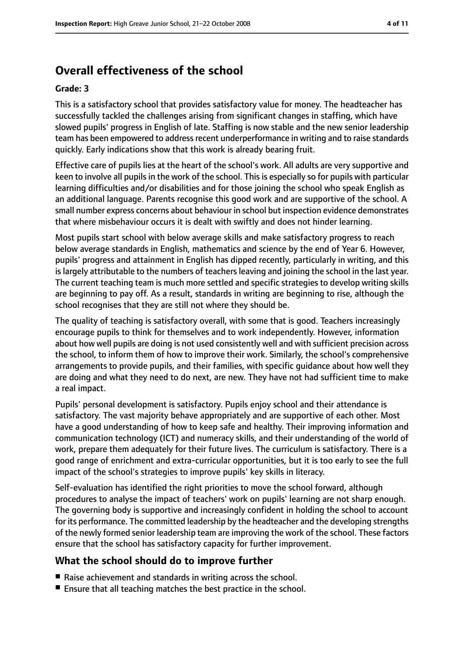# **Overall effectiveness of the school**

#### **Grade: 3**

This is a satisfactory school that provides satisfactory value for money. The headteacher has successfully tackled the challenges arising from significant changes in staffing, which have slowed pupils' progress in English of late. Staffing is now stable and the new senior leadership team has been empowered to address recent underperformance in writing and to raise standards quickly. Early indications show that this work is already bearing fruit.

Effective care of pupils lies at the heart of the school's work. All adults are very supportive and keen to involve all pupils in the work of the school. This is especially so for pupils with particular learning difficulties and/or disabilities and for those joining the school who speak English as an additional language. Parents recognise this good work and are supportive of the school. A small number express concerns about behaviour in school but inspection evidence demonstrates that where misbehaviour occurs it is dealt with swiftly and does not hinder learning.

Most pupils start school with below average skills and make satisfactory progress to reach below average standards in English, mathematics and science by the end of Year 6. However, pupils' progress and attainment in English has dipped recently, particularly in writing, and this is largely attributable to the numbers of teachers leaving and joining the school in the last year. The current teaching team is much more settled and specific strategies to develop writing skills are beginning to pay off. As a result, standards in writing are beginning to rise, although the school recognises that they are still not where they should be.

The quality of teaching is satisfactory overall, with some that is good. Teachers increasingly encourage pupils to think for themselves and to work independently. However, information about how well pupils are doing is not used consistently well and with sufficient precision across the school, to inform them of how to improve their work. Similarly, the school's comprehensive arrangements to provide pupils, and their families, with specific guidance about how well they are doing and what they need to do next, are new. They have not had sufficient time to make a real impact.

Pupils' personal development is satisfactory. Pupils enjoy school and their attendance is satisfactory. The vast majority behave appropriately and are supportive of each other. Most have a good understanding of how to keep safe and healthy. Their improving information and communication technology (ICT) and numeracy skills, and their understanding of the world of work, prepare them adequately for their future lives. The curriculum is satisfactory. There is a good range of enrichment and extra-curricular opportunities, but it is too early to see the full impact of the school's strategies to improve pupils' key skills in literacy.

Self-evaluation has identified the right priorities to move the school forward, although procedures to analyse the impact of teachers' work on pupils' learning are not sharp enough. The governing body is supportive and increasingly confident in holding the school to account for its performance. The committed leadership by the headteacher and the developing strengths of the newly formed senior leadership team are improving the work of the school. These factors ensure that the school has satisfactory capacity for further improvement.

## **What the school should do to improve further**

- Raise achievement and standards in writing across the school.
- Ensure that all teaching matches the best practice in the school.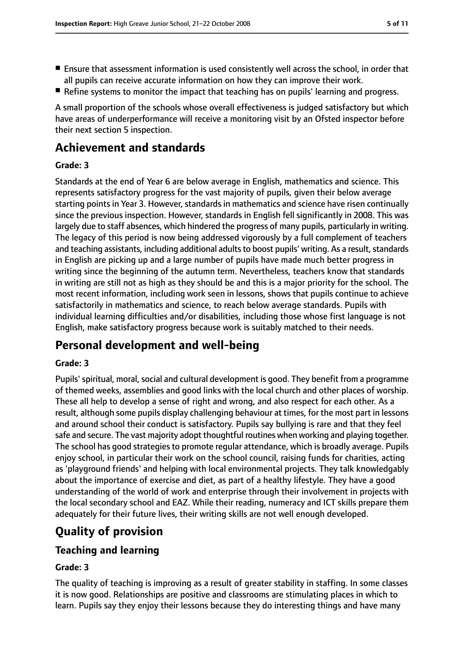- Ensure that assessment information is used consistently well across the school, in order that all pupils can receive accurate information on how they can improve their work.
- Refine systems to monitor the impact that teaching has on pupils' learning and progress.

A small proportion of the schools whose overall effectiveness is judged satisfactory but which have areas of underperformance will receive a monitoring visit by an Ofsted inspector before their next section 5 inspection.

# **Achievement and standards**

#### **Grade: 3**

Standards at the end of Year 6 are below average in English, mathematics and science. This represents satisfactory progress for the vast majority of pupils, given their below average starting points in Year 3. However, standards in mathematics and science have risen continually since the previous inspection. However, standards in English fell significantly in 2008. This was largely due to staff absences, which hindered the progress of many pupils, particularly in writing. The legacy of this period is now being addressed vigorously by a full complement of teachers and teaching assistants, including additional adults to boost pupils' writing. As a result, standards in English are picking up and a large number of pupils have made much better progress in writing since the beginning of the autumn term. Nevertheless, teachers know that standards in writing are still not as high as they should be and this is a major priority for the school. The most recent information, including work seen in lessons, shows that pupils continue to achieve satisfactorily in mathematics and science, to reach below average standards. Pupils with individual learning difficulties and/or disabilities, including those whose first language is not English, make satisfactory progress because work is suitably matched to their needs.

# **Personal development and well-being**

## **Grade: 3**

Pupils' spiritual, moral, social and cultural development is good. They benefit from a programme of themed weeks, assemblies and good links with the local church and other places of worship. These all help to develop a sense of right and wrong, and also respect for each other. As a result, although some pupils display challenging behaviour at times, for the most part in lessons and around school their conduct is satisfactory. Pupils say bullying is rare and that they feel safe and secure. The vast majority adopt thoughtful routines when working and playing together. The school has good strategies to promote regular attendance, which is broadly average. Pupils enjoy school, in particular their work on the school council, raising funds for charities, acting as 'playground friends' and helping with local environmental projects. They talk knowledgably about the importance of exercise and diet, as part of a healthy lifestyle. They have a good understanding of the world of work and enterprise through their involvement in projects with the local secondary school and EAZ. While their reading, numeracy and ICT skills prepare them adequately for their future lives, their writing skills are not well enough developed.

# **Quality of provision**

## **Teaching and learning**

## **Grade: 3**

The quality of teaching is improving as a result of greater stability in staffing. In some classes it is now good. Relationships are positive and classrooms are stimulating places in which to learn. Pupils say they enjoy their lessons because they do interesting things and have many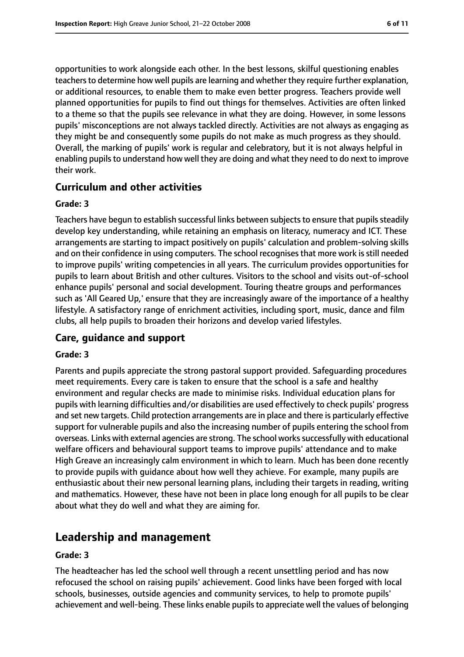opportunities to work alongside each other. In the best lessons, skilful questioning enables teachers to determine how well pupils are learning and whether they require further explanation, or additional resources, to enable them to make even better progress. Teachers provide well planned opportunities for pupils to find out things for themselves. Activities are often linked to a theme so that the pupils see relevance in what they are doing. However, in some lessons pupils' misconceptions are not always tackled directly. Activities are not always as engaging as they might be and consequently some pupils do not make as much progress as they should. Overall, the marking of pupils' work is regular and celebratory, but it is not always helpful in enabling pupils to understand how well they are doing and what they need to do next to improve their work.

#### **Curriculum and other activities**

#### **Grade: 3**

Teachers have begun to establish successful links between subjects to ensure that pupils steadily develop key understanding, while retaining an emphasis on literacy, numeracy and ICT. These arrangements are starting to impact positively on pupils' calculation and problem-solving skills and on their confidence in using computers. The school recognises that more work is still needed to improve pupils' writing competencies in all years. The curriculum provides opportunities for pupils to learn about British and other cultures. Visitors to the school and visits out-of-school enhance pupils' personal and social development. Touring theatre groups and performances such as 'All Geared Up,' ensure that they are increasingly aware of the importance of a healthy lifestyle. A satisfactory range of enrichment activities, including sport, music, dance and film clubs, all help pupils to broaden their horizons and develop varied lifestyles.

## **Care, guidance and support**

#### **Grade: 3**

Parents and pupils appreciate the strong pastoral support provided. Safeguarding procedures meet requirements. Every care is taken to ensure that the school is a safe and healthy environment and regular checks are made to minimise risks. Individual education plans for pupils with learning difficulties and/or disabilities are used effectively to check pupils' progress and set new targets. Child protection arrangements are in place and there is particularly effective support for vulnerable pupils and also the increasing number of pupils entering the school from overseas. Links with external agencies are strong. The school works successfully with educational welfare officers and behavioural support teams to improve pupils' attendance and to make High Greave an increasingly calm environment in which to learn. Much has been done recently to provide pupils with guidance about how well they achieve. For example, many pupils are enthusiastic about their new personal learning plans, including their targets in reading, writing and mathematics. However, these have not been in place long enough for all pupils to be clear about what they do well and what they are aiming for.

# **Leadership and management**

#### **Grade: 3**

The headteacher has led the school well through a recent unsettling period and has now refocused the school on raising pupils' achievement. Good links have been forged with local schools, businesses, outside agencies and community services, to help to promote pupils' achievement and well-being. These links enable pupils to appreciate well the values of belonging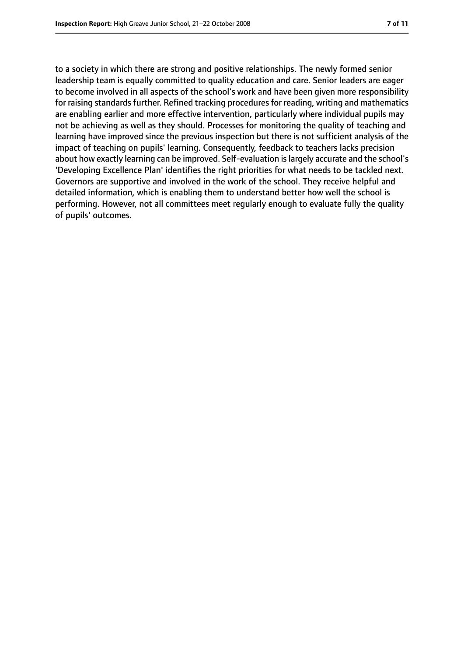to a society in which there are strong and positive relationships. The newly formed senior leadership team is equally committed to quality education and care. Senior leaders are eager to become involved in all aspects of the school's work and have been given more responsibility for raising standards further. Refined tracking procedures for reading, writing and mathematics are enabling earlier and more effective intervention, particularly where individual pupils may not be achieving as well as they should. Processes for monitoring the quality of teaching and learning have improved since the previous inspection but there is not sufficient analysis of the impact of teaching on pupils' learning. Consequently, feedback to teachers lacks precision about how exactly learning can be improved. Self-evaluation islargely accurate and the school's 'Developing Excellence Plan' identifies the right priorities for what needs to be tackled next. Governors are supportive and involved in the work of the school. They receive helpful and detailed information, which is enabling them to understand better how well the school is performing. However, not all committees meet regularly enough to evaluate fully the quality of pupils' outcomes.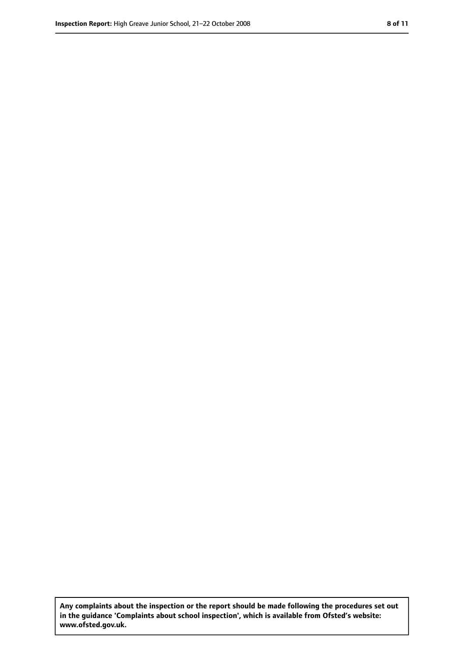**Any complaints about the inspection or the report should be made following the procedures set out in the guidance 'Complaints about school inspection', which is available from Ofsted's website: www.ofsted.gov.uk.**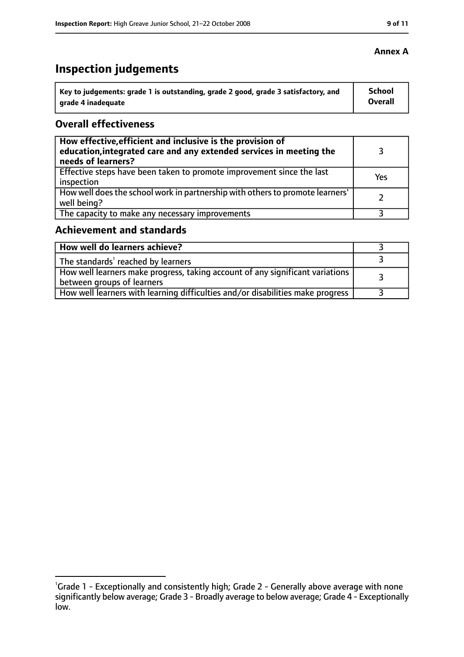# **Inspection judgements**

| Key to judgements: grade 1 is outstanding, grade 2 good, grade 3 satisfactory, and | <b>School</b>  |
|------------------------------------------------------------------------------------|----------------|
| arade 4 inadequate                                                                 | <b>Overall</b> |

## **Overall effectiveness**

| How effective, efficient and inclusive is the provision of<br>education, integrated care and any extended services in meeting the<br>needs of learners? |     |
|---------------------------------------------------------------------------------------------------------------------------------------------------------|-----|
| Effective steps have been taken to promote improvement since the last<br>inspection                                                                     | Yes |
| How well does the school work in partnership with others to promote learners'<br>well being?                                                            |     |
| The capacity to make any necessary improvements                                                                                                         |     |

# **Achievement and standards**

| How well do learners achieve?                                                                                 |  |
|---------------------------------------------------------------------------------------------------------------|--|
| The standards <sup>1</sup> reached by learners                                                                |  |
| How well learners make progress, taking account of any significant variations  <br>between groups of learners |  |
| How well learners with learning difficulties and/or disabilities make progress                                |  |

#### **Annex A**

<sup>&</sup>lt;sup>1</sup>Grade 1 - Exceptionally and consistently high; Grade 2 - Generally above average with none significantly below average; Grade 3 - Broadly average to below average; Grade 4 - Exceptionally low.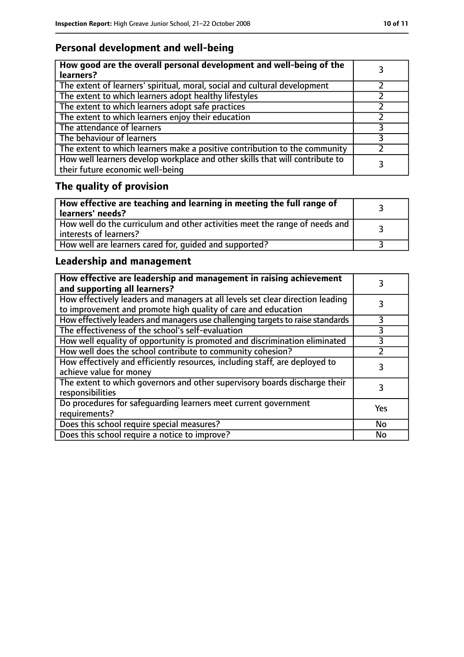# **Personal development and well-being**

| How good are the overall personal development and well-being of the<br>learners?                                 |  |
|------------------------------------------------------------------------------------------------------------------|--|
| The extent of learners' spiritual, moral, social and cultural development                                        |  |
| The extent to which learners adopt healthy lifestyles                                                            |  |
| The extent to which learners adopt safe practices                                                                |  |
| The extent to which learners enjoy their education                                                               |  |
| The attendance of learners                                                                                       |  |
| The behaviour of learners                                                                                        |  |
| The extent to which learners make a positive contribution to the community                                       |  |
| How well learners develop workplace and other skills that will contribute to<br>their future economic well-being |  |

# **The quality of provision**

| How effective are teaching and learning in meeting the full range of<br>learners' needs?                |  |
|---------------------------------------------------------------------------------------------------------|--|
| How well do the curriculum and other activities meet the range of needs and<br>  interests of learners? |  |
| How well are learners cared for, quided and supported?                                                  |  |

# **Leadership and management**

| How effective are leadership and management in raising achievement<br>and supporting all learners?                                              |     |
|-------------------------------------------------------------------------------------------------------------------------------------------------|-----|
| How effectively leaders and managers at all levels set clear direction leading<br>to improvement and promote high quality of care and education |     |
| How effectively leaders and managers use challenging targets to raise standards                                                                 |     |
| The effectiveness of the school's self-evaluation                                                                                               | 3   |
| How well equality of opportunity is promoted and discrimination eliminated                                                                      | 3   |
| How well does the school contribute to community cohesion?                                                                                      |     |
| How effectively and efficiently resources, including staff, are deployed to<br>achieve value for money                                          | 3   |
| The extent to which governors and other supervisory boards discharge their<br>responsibilities                                                  |     |
| Do procedures for safequarding learners meet current government<br>requirements?                                                                | Yes |
| Does this school require special measures?                                                                                                      | No  |
| Does this school require a notice to improve?                                                                                                   | No  |